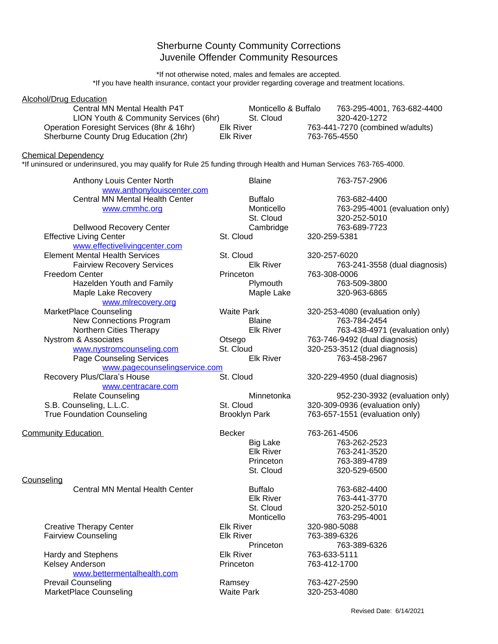## Sherburne County Community Corrections Juvenile Offender Community Resources

\*If not otherwise noted, males and females are accepted. \*If you have health insurance, contact your provider regarding coverage and treatment locations.

| <b>Alcohol/Drug Education</b><br>Central MN Mental Health P4T                                                                                    |                                      | Monticello & Buffalo                                          |                              | 763-295-4001, 763-682-4400                                                                         |
|--------------------------------------------------------------------------------------------------------------------------------------------------|--------------------------------------|---------------------------------------------------------------|------------------------------|----------------------------------------------------------------------------------------------------|
| LION Youth & Community Services (6hr)<br>Operation Foresight Services (8hr & 16hr)                                                               | <b>Elk River</b>                     | St. Cloud                                                     |                              | 320-420-1272<br>763-441-7270 (combined w/adults)                                                   |
| Sherburne County Drug Education (2hr)                                                                                                            | <b>Elk River</b>                     |                                                               | 763-765-4550                 |                                                                                                    |
| <b>Chemical Dependency</b><br>*If uninsured or underinsured, you may qualify for Rule 25 funding through Health and Human Services 763-765-4000. |                                      |                                                               |                              |                                                                                                    |
| Anthony Louis Center North<br>www.anthonylouiscenter.com                                                                                         |                                      | <b>Blaine</b>                                                 |                              | 763-757-2906                                                                                       |
| Central MN Mental Health Center<br>www.cmmhc.org                                                                                                 |                                      | <b>Buffalo</b><br>Monticello<br>St. Cloud                     |                              | 763-682-4400<br>763-295-4001 (evaluation only)<br>320-252-5010                                     |
| Dellwood Recovery Center<br><b>Effective Living Center</b>                                                                                       | St. Cloud                            | Cambridge                                                     | 320-259-5381                 | 763-689-7723                                                                                       |
| www.effectivelivingcenter.com<br><b>Element Mental Health Services</b>                                                                           | St. Cloud                            |                                                               | 320-257-6020                 |                                                                                                    |
| <b>Fairview Recovery Services</b><br><b>Freedom Center</b>                                                                                       | Princeton                            | <b>Elk River</b><br>Plymouth                                  | 763-308-0006                 | 763-241-3558 (dual diagnosis)<br>763-509-3800                                                      |
| Hazelden Youth and Family<br>Maple Lake Recovery<br>www.mlrecovery.org                                                                           |                                      | Maple Lake                                                    |                              | 320-963-6865                                                                                       |
| MarketPlace Counseling<br>New Connections Program                                                                                                | <b>Waite Park</b>                    | <b>Blaine</b>                                                 |                              | 320-253-4080 (evaluation only)<br>763-784-2454                                                     |
| Northern Cities Therapy<br>Nystrom & Associates<br>www.nystromcounseling.com                                                                     | Otsego<br>St. Cloud                  | <b>Elk River</b>                                              |                              | 763-438-4971 (evaluation only)<br>763-746-9492 (dual diagnosis)<br>320-253-3512 (dual diagnosis)   |
| <b>Page Counseling Services</b><br>www.pagecounselingservice.com                                                                                 |                                      | <b>Elk River</b>                                              |                              | 763-458-2967                                                                                       |
| Recovery Plus/Clara's House<br>www.centracare.com                                                                                                | St. Cloud                            |                                                               |                              | 320-229-4950 (dual diagnosis)                                                                      |
| <b>Relate Counseling</b><br>S.B. Counseling, L.L.C.<br><b>True Foundation Counseling</b>                                                         | St. Cloud                            | Minnetonka<br><b>Brooklyn Park</b>                            |                              | 952-230-3932 (evaluation only)<br>320-309-0936 (evaluation only)<br>763-657-1551 (evaluation only) |
| <b>Community Education</b>                                                                                                                       | Becker                               |                                                               | 763-261-4506                 |                                                                                                    |
|                                                                                                                                                  |                                      | <b>Big Lake</b><br><b>Elk River</b><br>Princeton<br>St. Cloud |                              | 763-262-2523<br>763-241-3520<br>763-389-4789<br>320-529-6500                                       |
| Counseling<br><b>Central MN Mental Health Center</b>                                                                                             |                                      | <b>Buffalo</b>                                                |                              | 763-682-4400                                                                                       |
|                                                                                                                                                  |                                      | <b>Elk River</b><br>St. Cloud<br>Monticello                   |                              | 763-441-3770<br>320-252-5010<br>763-295-4001                                                       |
| <b>Creative Therapy Center</b><br><b>Fairview Counseling</b>                                                                                     | <b>Elk River</b><br><b>Elk River</b> | Princeton                                                     | 320-980-5088<br>763-389-6326 | 763-389-6326                                                                                       |
| Hardy and Stephens<br>Kelsey Anderson                                                                                                            | <b>Elk River</b><br>Princeton        |                                                               | 763-633-5111<br>763-412-1700 |                                                                                                    |
| www.bettermentalhealth.com<br><b>Prevail Counseling</b><br>MarketPlace Counseling                                                                | Ramsey<br><b>Waite Park</b>          |                                                               | 763-427-2590<br>320-253-4080 |                                                                                                    |
|                                                                                                                                                  |                                      |                                                               |                              |                                                                                                    |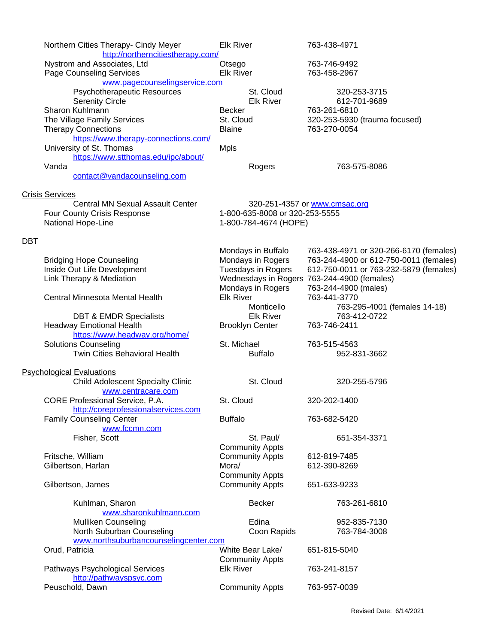| Northern Cities Therapy- Cindy Meyer<br>http://northerncitiestherapy.com/ | <b>Elk River</b>                                        | 763-438-4971                                |  |  |
|---------------------------------------------------------------------------|---------------------------------------------------------|---------------------------------------------|--|--|
| Nystrom and Associates, Ltd                                               | Otsego                                                  | 763-746-9492                                |  |  |
| <b>Page Counseling Services</b>                                           | <b>Elk River</b>                                        | 763-458-2967                                |  |  |
| www.pagecounselingservice.com                                             |                                                         |                                             |  |  |
| Psychotherapeutic Resources                                               | St. Cloud                                               | 320-253-3715                                |  |  |
| <b>Serenity Circle</b>                                                    | <b>Elk River</b>                                        | 612-701-9689                                |  |  |
| Sharon Kuhlmann                                                           | <b>Becker</b>                                           | 763-261-6810                                |  |  |
| The Village Family Services                                               | St. Cloud                                               | 320-253-5930 (trauma focused)               |  |  |
| <b>Therapy Connections</b>                                                | <b>Blaine</b>                                           | 763-270-0054                                |  |  |
| https://www.therapy-connections.com/                                      |                                                         |                                             |  |  |
| University of St. Thomas                                                  | <b>Mpls</b>                                             |                                             |  |  |
| https://www.stthomas.edu/ipc/about/                                       |                                                         |                                             |  |  |
| Vanda                                                                     | Rogers                                                  | 763-575-8086                                |  |  |
| contact@vandacounseling.com                                               |                                                         |                                             |  |  |
| <b>Crisis Services</b>                                                    |                                                         |                                             |  |  |
| <b>Central MN Sexual Assault Center</b>                                   |                                                         | 320-251-4357 or www.cmsac.org               |  |  |
| Four County Crisis Response                                               | 1-800-635-8008 or 320-253-5555<br>1-800-784-4674 (HOPE) |                                             |  |  |
| National Hope-Line                                                        |                                                         |                                             |  |  |
| <b>DBT</b>                                                                |                                                         |                                             |  |  |
|                                                                           | Mondays in Buffalo                                      | 763-438-4971 or 320-266-6170 (females)      |  |  |
| <b>Bridging Hope Counseling</b>                                           | Mondays in Rogers                                       | 763-244-4900 or 612-750-0011 (females)      |  |  |
| Inside Out Life Development                                               | Tuesdays in Rogers                                      | 612-750-0011 or 763-232-5879 (females)      |  |  |
| Link Therapy & Mediation                                                  |                                                         | Wednesdays in Rogers 763-244-4900 (females) |  |  |
|                                                                           | Mondays in Rogers                                       | 763-244-4900 (males)                        |  |  |
| Central Minnesota Mental Health                                           | <b>Elk River</b>                                        | 763-441-3770                                |  |  |
|                                                                           | Monticello                                              | 763-295-4001 (females 14-18)                |  |  |
| <b>DBT &amp; EMDR Specialists</b>                                         | <b>Elk River</b>                                        | 763-412-0722                                |  |  |
| <b>Headway Emotional Health</b>                                           | <b>Brooklyn Center</b>                                  | 763-746-2411                                |  |  |
| https://www.headway.org/home/                                             |                                                         |                                             |  |  |
| <b>Solutions Counseling</b>                                               | St. Michael                                             | 763-515-4563                                |  |  |
| Twin Cities Behavioral Health                                             | <b>Buffalo</b>                                          | 952-831-3662                                |  |  |
| <b>Psychological Evaluations</b>                                          |                                                         |                                             |  |  |
| <b>Child Adolescent Specialty Clinic</b>                                  | St. Cloud                                               | 320-255-5796                                |  |  |
| www.centracare.com                                                        |                                                         |                                             |  |  |
| CORE Professional Service, P.A.                                           | St. Cloud                                               | 320-202-1400                                |  |  |
| http://coreprofessionalservices.com                                       |                                                         |                                             |  |  |
| <b>Family Counseling Center</b>                                           | <b>Buffalo</b>                                          | 763-682-5420                                |  |  |
| www.fccmn.com                                                             |                                                         |                                             |  |  |
| Fisher, Scott                                                             | St. Paul/                                               | 651-354-3371                                |  |  |
|                                                                           | <b>Community Appts</b>                                  |                                             |  |  |
| Fritsche, William                                                         | <b>Community Appts</b>                                  | 612-819-7485                                |  |  |
| Gilbertson, Harlan                                                        | Mora/                                                   | 612-390-8269                                |  |  |
|                                                                           | <b>Community Appts</b>                                  |                                             |  |  |
| Gilbertson, James                                                         | <b>Community Appts</b>                                  | 651-633-9233                                |  |  |
| Kuhlman, Sharon                                                           | <b>Becker</b>                                           | 763-261-6810                                |  |  |
| www.sharonkuhlmann.com                                                    |                                                         |                                             |  |  |
| <b>Mulliken Counseling</b>                                                | Edina                                                   | 952-835-7130                                |  |  |
| North Suburban Counseling                                                 | Coon Rapids                                             | 763-784-3008                                |  |  |
| www.northsuburbancounselingcenter.com                                     |                                                         |                                             |  |  |
| Orud, Patricia                                                            | White Bear Lake/                                        | 651-815-5040                                |  |  |
|                                                                           | <b>Community Appts</b>                                  |                                             |  |  |
| Pathways Psychological Services                                           | <b>Elk River</b>                                        | 763-241-8157                                |  |  |
| http://pathwayspsyc.com                                                   |                                                         |                                             |  |  |
| Peuschold, Dawn                                                           | <b>Community Appts</b>                                  | 763-957-0039                                |  |  |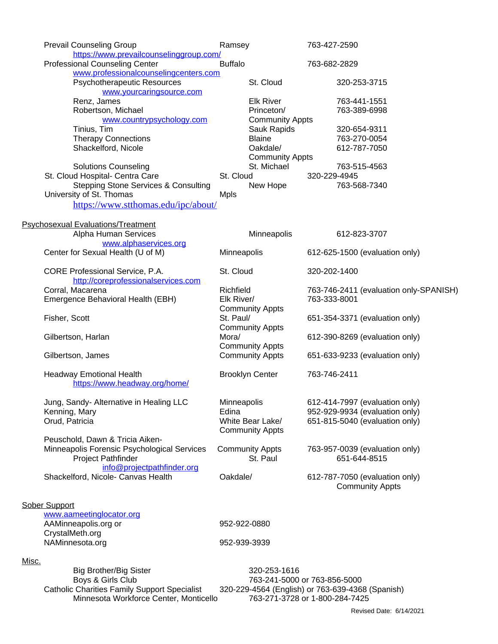|       | <b>Prevail Counseling Group</b>                                                                                                                                                                                                          | Ramsey                                |                        | 763-427-2590                   |                                        |  |  |
|-------|------------------------------------------------------------------------------------------------------------------------------------------------------------------------------------------------------------------------------------------|---------------------------------------|------------------------|--------------------------------|----------------------------------------|--|--|
|       | https://www.prevailcounselinggroup.com/                                                                                                                                                                                                  | <b>Buffalo</b>                        |                        |                                |                                        |  |  |
|       | <b>Professional Counseling Center</b>                                                                                                                                                                                                    |                                       |                        | 763-682-2829                   |                                        |  |  |
|       | www.professionalcounselingcenters.com                                                                                                                                                                                                    |                                       |                        |                                |                                        |  |  |
|       | Psychotherapeutic Resources<br>www.yourcaringsource.com                                                                                                                                                                                  |                                       | St. Cloud              |                                | 320-253-3715                           |  |  |
|       | Renz, James                                                                                                                                                                                                                              |                                       | <b>Elk River</b>       |                                | 763-441-1551                           |  |  |
|       | Robertson, Michael                                                                                                                                                                                                                       |                                       | Princeton/             |                                | 763-389-6998                           |  |  |
|       | www.countrypsychology.com                                                                                                                                                                                                                | <b>Community Appts</b><br>Sauk Rapids |                        |                                |                                        |  |  |
|       | Tinius, Tim                                                                                                                                                                                                                              |                                       |                        |                                | 320-654-9311                           |  |  |
|       | <b>Therapy Connections</b>                                                                                                                                                                                                               |                                       | <b>Blaine</b>          |                                | 763-270-0054                           |  |  |
|       | Shackelford, Nicole                                                                                                                                                                                                                      |                                       | Oakdale/               |                                | 612-787-7050                           |  |  |
|       |                                                                                                                                                                                                                                          |                                       | <b>Community Appts</b> |                                |                                        |  |  |
|       | <b>Solutions Counseling</b>                                                                                                                                                                                                              |                                       | St. Michael            |                                | 763-515-4563                           |  |  |
|       | St. Cloud Hospital- Centra Care<br>St. Cloud<br><b>Stepping Stone Services &amp; Consulting</b>                                                                                                                                          |                                       |                        | 320-229-4945                   |                                        |  |  |
|       |                                                                                                                                                                                                                                          |                                       | New Hope               |                                | 763-568-7340                           |  |  |
|       | University of St. Thomas                                                                                                                                                                                                                 | <b>Mpls</b>                           |                        |                                |                                        |  |  |
|       | https://www.stthomas.edu/ipc/about/                                                                                                                                                                                                      |                                       |                        |                                |                                        |  |  |
|       | Psychosexual Evaluations/Treatment                                                                                                                                                                                                       |                                       |                        |                                |                                        |  |  |
|       | Alpha Human Services                                                                                                                                                                                                                     |                                       | Minneapolis            |                                | 612-823-3707                           |  |  |
|       | www.alphaservices.org                                                                                                                                                                                                                    |                                       |                        |                                |                                        |  |  |
|       | Center for Sexual Health (U of M)                                                                                                                                                                                                        | Minneapolis                           |                        |                                | 612-625-1500 (evaluation only)         |  |  |
|       |                                                                                                                                                                                                                                          |                                       |                        |                                |                                        |  |  |
|       | CORE Professional Service, P.A.                                                                                                                                                                                                          | St. Cloud                             |                        | 320-202-1400                   |                                        |  |  |
|       | http://coreprofessionalservices.com                                                                                                                                                                                                      |                                       |                        |                                |                                        |  |  |
|       | Corral, Macarena                                                                                                                                                                                                                         | Richfield                             |                        |                                | 763-746-2411 (evaluation only-SPANISH) |  |  |
|       | Emergence Behavioral Health (EBH)                                                                                                                                                                                                        |                                       | Elk River/             |                                | 763-333-8001                           |  |  |
|       |                                                                                                                                                                                                                                          | <b>Community Appts</b>                |                        |                                |                                        |  |  |
|       | Fisher, Scott                                                                                                                                                                                                                            |                                       | St. Paul/              |                                | 651-354-3371 (evaluation only)         |  |  |
|       |                                                                                                                                                                                                                                          |                                       | <b>Community Appts</b> |                                |                                        |  |  |
|       | Gilbertson, Harlan                                                                                                                                                                                                                       |                                       | Mora/                  |                                | 612-390-8269 (evaluation only)         |  |  |
|       |                                                                                                                                                                                                                                          |                                       | <b>Community Appts</b> |                                |                                        |  |  |
|       | Gilbertson, James                                                                                                                                                                                                                        |                                       | <b>Community Appts</b> |                                | 651-633-9233 (evaluation only)         |  |  |
|       | <b>Headway Emotional Health</b>                                                                                                                                                                                                          |                                       | <b>Brooklyn Center</b> | 763-746-2411                   |                                        |  |  |
|       | https://www.headway.org/home/                                                                                                                                                                                                            |                                       |                        |                                |                                        |  |  |
|       |                                                                                                                                                                                                                                          |                                       |                        |                                |                                        |  |  |
|       | Jung, Sandy- Alternative in Healing LLC                                                                                                                                                                                                  | <b>Minneapolis</b>                    |                        | 612-414-7997 (evaluation only) |                                        |  |  |
|       | Kenning, Mary                                                                                                                                                                                                                            | Edina                                 |                        |                                | 952-929-9934 (evaluation only)         |  |  |
|       | Orud, Patricia                                                                                                                                                                                                                           |                                       | White Bear Lake/       | 651-815-5040 (evaluation only) |                                        |  |  |
|       |                                                                                                                                                                                                                                          |                                       | <b>Community Appts</b> |                                |                                        |  |  |
|       | Peuschold, Dawn & Tricia Aiken-                                                                                                                                                                                                          |                                       |                        |                                |                                        |  |  |
|       | Minneapolis Forensic Psychological Services                                                                                                                                                                                              |                                       | <b>Community Appts</b> |                                | 763-957-0039 (evaluation only)         |  |  |
|       | <b>Project Pathfinder</b>                                                                                                                                                                                                                |                                       | St. Paul               |                                | 651-644-8515                           |  |  |
|       | info@projectpathfinder.org<br>Shackelford, Nicole- Canvas Health                                                                                                                                                                         |                                       |                        |                                |                                        |  |  |
|       |                                                                                                                                                                                                                                          |                                       | Oakdale/               | 612-787-7050 (evaluation only) |                                        |  |  |
|       |                                                                                                                                                                                                                                          |                                       |                        |                                | <b>Community Appts</b>                 |  |  |
|       |                                                                                                                                                                                                                                          |                                       |                        |                                |                                        |  |  |
|       | <b>Sober Support</b>                                                                                                                                                                                                                     |                                       |                        |                                |                                        |  |  |
|       | www.aameetinglocator.org                                                                                                                                                                                                                 | 952-922-0880                          |                        |                                |                                        |  |  |
|       | AAMinneapolis.org or                                                                                                                                                                                                                     |                                       |                        |                                |                                        |  |  |
|       | CrystalMeth.org                                                                                                                                                                                                                          |                                       |                        |                                |                                        |  |  |
|       | NAMinnesota.org                                                                                                                                                                                                                          | 952-939-3939                          |                        |                                |                                        |  |  |
| Misc. |                                                                                                                                                                                                                                          |                                       |                        |                                |                                        |  |  |
|       | <b>Big Brother/Big Sister</b>                                                                                                                                                                                                            |                                       | 320-253-1616           |                                |                                        |  |  |
|       | Boys & Girls Club<br>763-241-5000 or 763-856-5000<br><b>Catholic Charities Family Support Specialist</b><br>320-229-4564 (English) or 763-639-4368 (Spanish)<br>Minnesota Workforce Center, Monticello<br>763-271-3728 or 1-800-284-7425 |                                       |                        |                                |                                        |  |  |
|       |                                                                                                                                                                                                                                          |                                       |                        |                                |                                        |  |  |
|       |                                                                                                                                                                                                                                          |                                       |                        |                                |                                        |  |  |